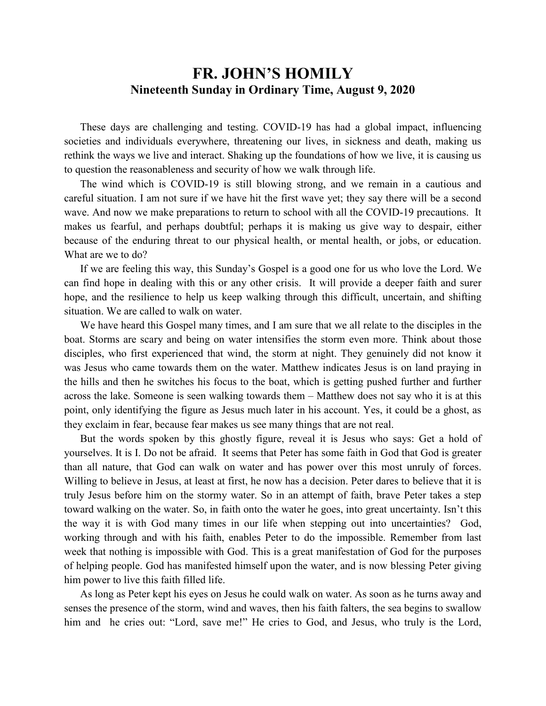## **FR. JOHN'S HOMILY Nineteenth Sunday in Ordinary Time, August 9, 2020**

 These days are challenging and testing. COVID-19 has had a global impact, influencing societies and individuals everywhere, threatening our lives, in sickness and death, making us rethink the ways we live and interact. Shaking up the foundations of how we live, it is causing us to question the reasonableness and security of how we walk through life.

 The wind which is COVID-19 is still blowing strong, and we remain in a cautious and careful situation. I am not sure if we have hit the first wave yet; they say there will be a second wave. And now we make preparations to return to school with all the COVID-19 precautions. It makes us fearful, and perhaps doubtful; perhaps it is making us give way to despair, either because of the enduring threat to our physical health, or mental health, or jobs, or education. What are we to do?

 If we are feeling this way, this Sunday's Gospel is a good one for us who love the Lord. We can find hope in dealing with this or any other crisis. It will provide a deeper faith and surer hope, and the resilience to help us keep walking through this difficult, uncertain, and shifting situation. We are called to walk on water.

 We have heard this Gospel many times, and I am sure that we all relate to the disciples in the boat. Storms are scary and being on water intensifies the storm even more. Think about those disciples, who first experienced that wind, the storm at night. They genuinely did not know it was Jesus who came towards them on the water. Matthew indicates Jesus is on land praying in the hills and then he switches his focus to the boat, which is getting pushed further and further across the lake. Someone is seen walking towards them – Matthew does not say who it is at this point, only identifying the figure as Jesus much later in his account. Yes, it could be a ghost, as they exclaim in fear, because fear makes us see many things that are not real.

 But the words spoken by this ghostly figure, reveal it is Jesus who says: Get a hold of yourselves. It is I. Do not be afraid. It seems that Peter has some faith in God that God is greater than all nature, that God can walk on water and has power over this most unruly of forces. Willing to believe in Jesus, at least at first, he now has a decision. Peter dares to believe that it is truly Jesus before him on the stormy water. So in an attempt of faith, brave Peter takes a step toward walking on the water. So, in faith onto the water he goes, into great uncertainty. Isn't this the way it is with God many times in our life when stepping out into uncertainties? God, working through and with his faith, enables Peter to do the impossible. Remember from last week that nothing is impossible with God. This is a great manifestation of God for the purposes of helping people. God has manifested himself upon the water, and is now blessing Peter giving him power to live this faith filled life.

 As long as Peter kept his eyes on Jesus he could walk on water. As soon as he turns away and senses the presence of the storm, wind and waves, then his faith falters, the sea begins to swallow him and he cries out: "Lord, save me!" He cries to God, and Jesus, who truly is the Lord,